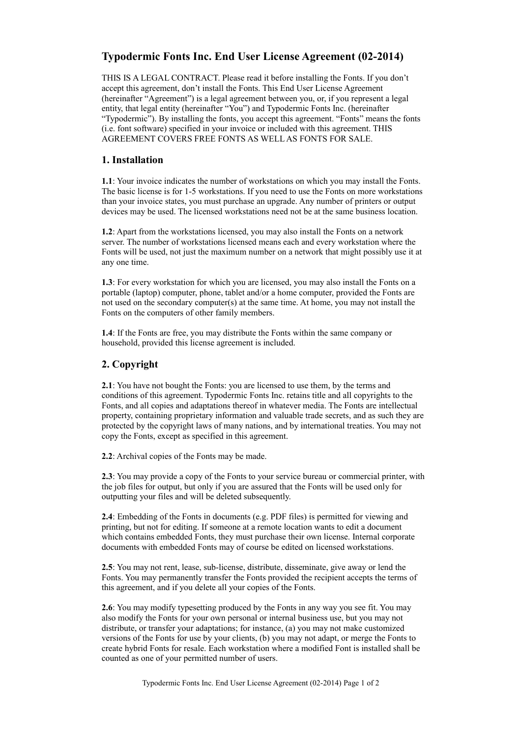# **Typodermic Fonts Inc. End User License Agreement (02-2014)**

THIS IS A LEGAL CONTRACT. Please read it before installing the Fonts. If you don't accept this agreement, don't install the Fonts. This End User License Agreement (hereinafter "Agreement") is a legal agreement between you, or, if you represent a legal entity, that legal entity (hereinafter "You") and Typodermic Fonts Inc. (hereinafter "Typodermic"). By installing the fonts, you accept this agreement. "Fonts" means the fonts (i.e. font software) specified in your invoice or included with this agreement. THIS AGREEMENT COVERS FREE FONTS AS WELL AS FONTS FOR SALE.

### **1. Installation**

**1.1**: Your invoice indicates the number of workstations on which you may install the Fonts. The basic license is for 1-5 workstations. If you need to use the Fonts on more workstations than your invoice states, you must purchase an upgrade. Any number of printers or output devices may be used. The licensed workstations need not be at the same business location.

**1.2**: Apart from the workstations licensed, you may also install the Fonts on a network server. The number of workstations licensed means each and every workstation where the Fonts will be used, not just the maximum number on a network that might possibly use it at any one time.

**1.3**: For every workstation for which you are licensed, you may also install the Fonts on a portable (laptop) computer, phone, tablet and/or a home computer, provided the Fonts are not used on the secondary computer(s) at the same time. At home, you may not install the Fonts on the computers of other family members.

**1.4**: If the Fonts are free, you may distribute the Fonts within the same company or household, provided this license agreement is included.

### **2. Copyright**

**2.1**: You have not bought the Fonts: you are licensed to use them, by the terms and conditions of this agreement. Typodermic Fonts Inc. retains title and all copyrights to the Fonts, and all copies and adaptations thereof in whatever media. The Fonts are intellectual property, containing proprietary information and valuable trade secrets, and as such they are protected by the copyright laws of many nations, and by international treaties. You may not copy the Fonts, except as specified in this agreement.

**2.2**: Archival copies of the Fonts may be made.

**2.3**: You may provide a copy of the Fonts to your service bureau or commercial printer, with the job files for output, but only if you are assured that the Fonts will be used only for outputting your files and will be deleted subsequently.

**2.4**: Embedding of the Fonts in documents (e.g. PDF files) is permitted for viewing and printing, but not for editing. If someone at a remote location wants to edit a document which contains embedded Fonts, they must purchase their own license. Internal corporate documents with embedded Fonts may of course be edited on licensed workstations.

**2.5**: You may not rent, lease, sub-license, distribute, disseminate, give away or lend the Fonts. You may permanently transfer the Fonts provided the recipient accepts the terms of this agreement, and if you delete all your copies of the Fonts.

**2.6**: You may modify typesetting produced by the Fonts in any way you see fit. You may also modify the Fonts for your own personal or internal business use, but you may not distribute, or transfer your adaptations; for instance, (a) you may not make customized versions of the Fonts for use by your clients, (b) you may not adapt, or merge the Fonts to create hybrid Fonts for resale. Each workstation where a modified Font is installed shall be counted as one of your permitted number of users.